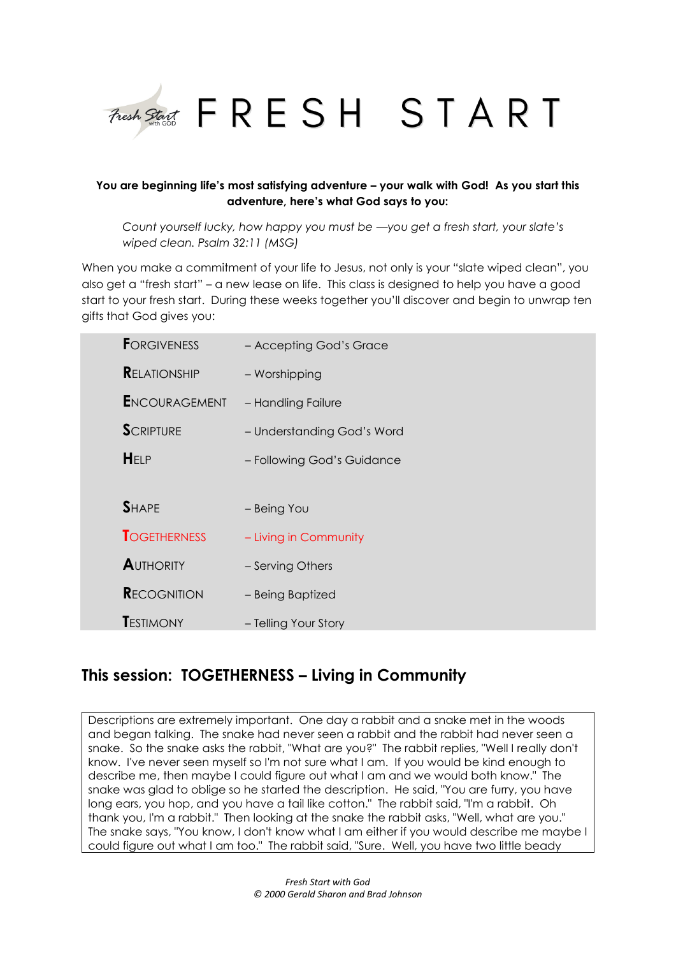

# **You are beginning life's most satisfying adventure – your walk with God! As you start this adventure, here's what God says to you:**

*Count yourself lucky, how happy you must be —you get a fresh start, your slate's wiped clean. Psalm 32:11 (MSG)*

When you make a commitment of your life to Jesus, not only is your "slate wiped clean", you also get a "fresh start" – a new lease on life. This class is designed to help you have a good start to your fresh start. During these weeks together you'll discover and begin to unwrap ten gifts that God gives you:

| <b>FORGIVENESS</b>   | - Accepting God's Grace    |
|----------------------|----------------------------|
| <b>RELATIONSHIP</b>  | - Worshipping              |
| <b>ENCOURAGEMENT</b> | - Handling Failure         |
| <b>SCRIPTURE</b>     | - Understanding God's Word |
| HELP                 | - Following God's Guidance |
|                      |                            |
| <b>SHAPF</b>         | - Being You                |
| <b>TOGETHERNESS</b>  | - Living in Community      |
| <b>AUTHORITY</b>     | - Serving Others           |
| <b>RECOGNITION</b>   | - Being Baptized           |
| <b>T</b> estimony    | - Telling Your Story       |

# **This session: TOGETHERNESS – Living in Community**

Descriptions are extremely important. One day a rabbit and a snake met in the woods and began talking. The snake had never seen a rabbit and the rabbit had never seen a snake. So the snake asks the rabbit, "What are you?" The rabbit replies, "Well I really don't know. I've never seen myself so I'm not sure what I am. If you would be kind enough to describe me, then maybe I could figure out what I am and we would both know." The snake was glad to oblige so he started the description. He said, "You are furry, you have long ears, you hop, and you have a tail like cotton." The rabbit said, "I'm a rabbit. Oh thank you, I'm a rabbit." Then looking at the snake the rabbit asks, "Well, what are you." The snake says, "You know, I don't know what I am either if you would describe me maybe I could figure out what I am too." The rabbit said, "Sure. Well, you have two little beady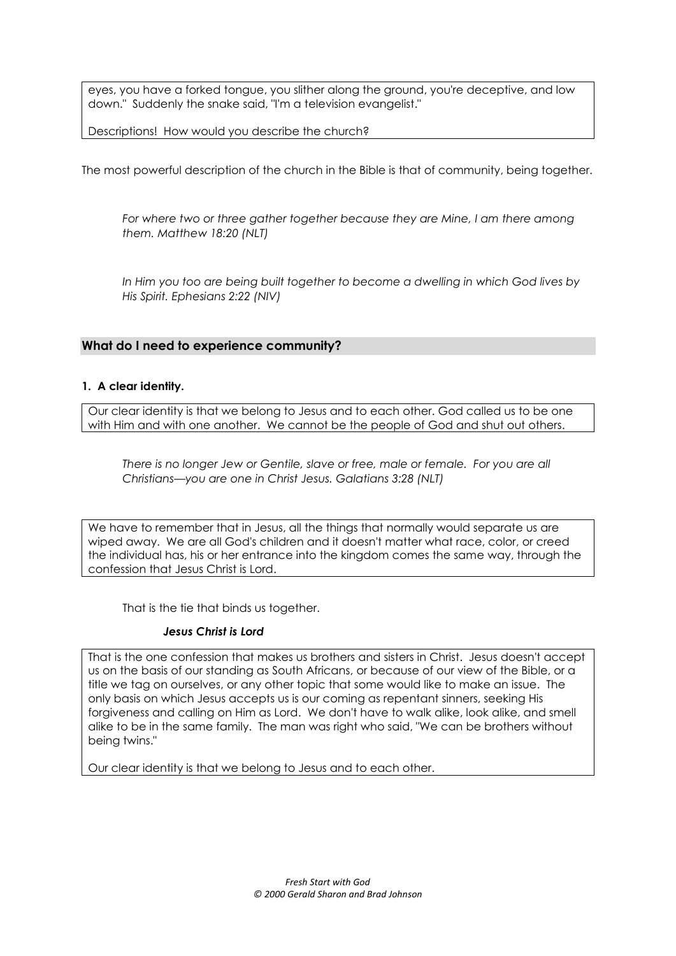eyes, you have a forked tongue, you slither along the ground, you're deceptive, and low down." Suddenly the snake said, "I'm a television evangelist."

Descriptions! How would you describe the church?

The most powerful description of the church in the Bible is that of community, being together.

For where two or three gather together because they are Mine, I am there among *them. Matthew 18:20 (NLT)*

In Him you too are being built together to become a dwelling in which God lives by *His Spirit. Ephesians 2:22 (NIV)*

## **What do I need to experience community?**

#### **1. A clear identity.**

Our clear identity is that we belong to Jesus and to each other. God called us to be one with Him and with one another. We cannot be the people of God and shut out others.

*There is no longer Jew or Gentile, slave or free, male or female. For you are all Christians—you are one in Christ Jesus. Galatians 3:28 (NLT)*

We have to remember that in Jesus, all the things that normally would separate us are wiped away. We are all God's children and it doesn't matter what race, color, or creed the individual has, his or her entrance into the kingdom comes the same way, through the confession that Jesus Christ is Lord.

That is the tie that binds us together.

## *Jesus Christ is Lord*

That is the one confession that makes us brothers and sisters in Christ. Jesus doesn't accept us on the basis of our standing as South Africans, or because of our view of the Bible, or a title we tag on ourselves, or any other topic that some would like to make an issue. The only basis on which Jesus accepts us is our coming as repentant sinners, seeking His forgiveness and calling on Him as Lord. We don't have to walk alike, look alike, and smell alike to be in the same family. The man was right who said, "We can be brothers without being twins."

Our clear identity is that we belong to Jesus and to each other.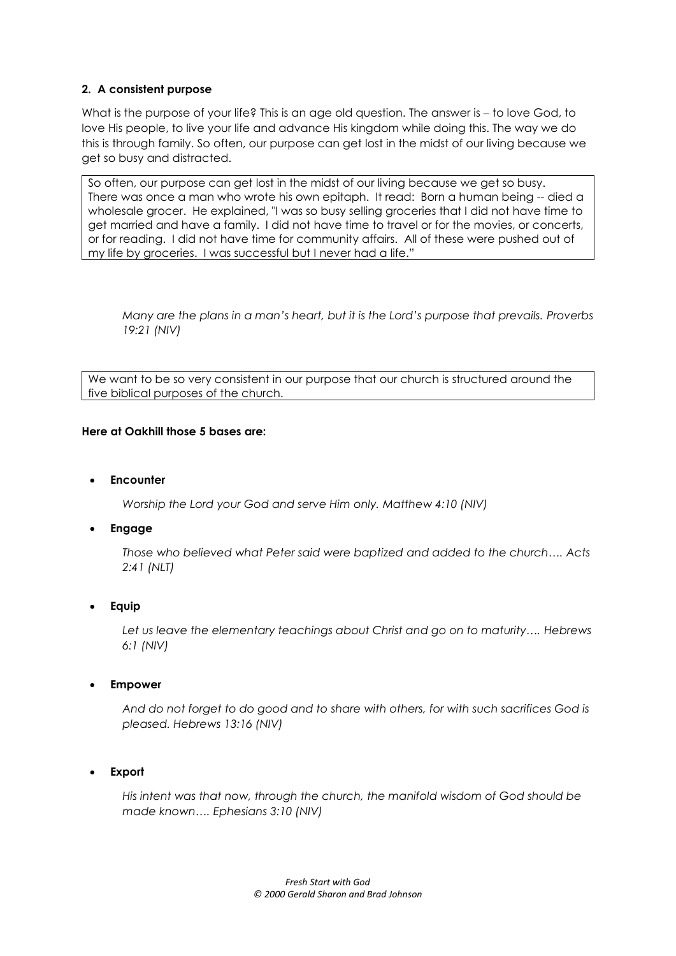# **2. A consistent purpose**

What is the purpose of your life? This is an age old question. The answer is – to love God, to love His people, to live your life and advance His kingdom while doing this. The way we do this is through family. So often, our purpose can get lost in the midst of our living because we get so busy and distracted.

So often, our purpose can get lost in the midst of our living because we get so busy. There was once a man who wrote his own epitaph. It read: Born a human being -- died a wholesale grocer. He explained, "I was so busy selling groceries that I did not have time to get married and have a family. I did not have time to travel or for the movies, or concerts, or for reading. I did not have time for community affairs. All of these were pushed out of my life by groceries. I was successful but I never had a life."

*Many are the plans in a man's heart, but it is the Lord's purpose that prevails. Proverbs 19:21 (NIV)*

We want to be so very consistent in our purpose that our church is structured around the five biblical purposes of the church.

# **Here at Oakhill those 5 bases are:**

# **Encounter**

*Worship the Lord your God and serve Him only. Matthew 4:10 (NIV)*

# **Engage**

*Those who believed what Peter said were baptized and added to the church…. Acts 2:41 (NLT)*

# **Equip**

*Let us leave the elementary teachings about Christ and go on to maturity…. Hebrews 6:1 (NIV)*

## **Empower**

*And do not forget to do good and to share with others, for with such sacrifices God is pleased. Hebrews 13:16 (NIV)*

**Export**

*His intent was that now, through the church, the manifold wisdom of God should be made known…. Ephesians 3:10 (NIV)*

> *Fresh Start with God © 2000 Gerald Sharon and Brad Johnson*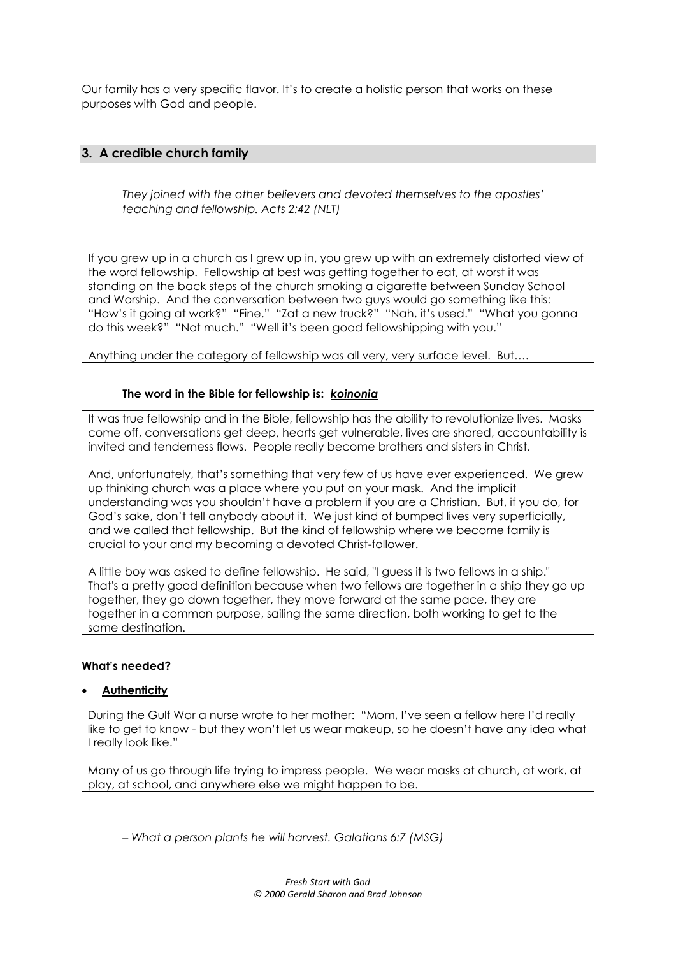Our family has a very specific flavor. It's to create a holistic person that works on these purposes with God and people.

# **3. A credible church family**

*They joined with the other believers and devoted themselves to the apostles' teaching and fellowship. Acts 2:42 (NLT)*

If you grew up in a church as I grew up in, you grew up with an extremely distorted view of the word fellowship. Fellowship at best was getting together to eat, at worst it was standing on the back steps of the church smoking a cigarette between Sunday School and Worship. And the conversation between two guys would go something like this: "How's it going at work?" "Fine." "Zat a new truck?" "Nah, it's used." "What you gonna do this week?" "Not much." "Well it's been good fellowshipping with you."

Anything under the category of fellowship was all very, very surface level. But….

#### **The word in the Bible for fellowship is:** *koinonia*

It was true fellowship and in the Bible, fellowship has the ability to revolutionize lives. Masks come off, conversations get deep, hearts get vulnerable, lives are shared, accountability is invited and tenderness flows. People really become brothers and sisters in Christ.

And, unfortunately, that's something that very few of us have ever experienced. We grew up thinking church was a place where you put on your mask. And the implicit understanding was you shouldn't have a problem if you are a Christian. But, if you do, for God's sake, don't tell anybody about it. We just kind of bumped lives very superficially, and we called that fellowship. But the kind of fellowship where we become family is crucial to your and my becoming a devoted Christ-follower.

A little boy was asked to define fellowship. He said, "I guess it is two fellows in a ship." That's a pretty good definition because when two fellows are together in a ship they go up together, they go down together, they move forward at the same pace, they are together in a common purpose, sailing the same direction, both working to get to the same destination.

#### **What's needed?**

#### **Authenticity**

During the Gulf War a nurse wrote to her mother: "Mom, I've seen a fellow here I'd really like to get to know - but they won't let us wear makeup, so he doesn't have any idea what I really look like."

Many of us go through life trying to impress people. We wear masks at church, at work, at play, at school, and anywhere else we might happen to be.

*‒ What a person plants he will harvest. Galatians 6:7 (MSG)*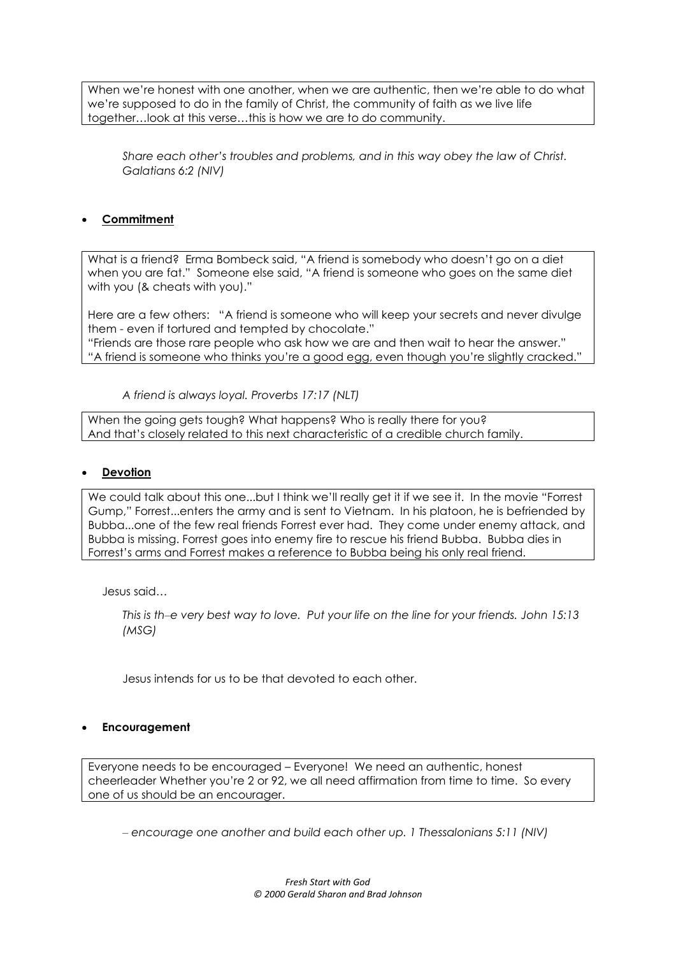When we're honest with one another, when we are authentic, then we're able to do what we're supposed to do in the family of Christ, the community of faith as we live life together…look at this verse…this is how we are to do community.

*Share each other's troubles and problems, and in this way obey the law of Christ. Galatians 6:2 (NIV)*

# **Commitment**

What is a friend? Erma Bombeck said, "A friend is somebody who doesn't go on a diet when you are fat." Someone else said, "A friend is someone who goes on the same diet with you (& cheats with you)."

Here are a few others: "A friend is someone who will keep your secrets and never divulge them - even if tortured and tempted by chocolate." "Friends are those rare people who ask how we are and then wait to hear the answer." "A friend is someone who thinks you're a good egg, even though you're slightly cracked."

*A friend is always loyal. Proverbs 17:17 (NLT)*

When the going gets tough? What happens? Who is really there for you? And that's closely related to this next characteristic of a credible church family.

# **Devotion**

We could talk about this one...but I think we'll really get it if we see it. In the movie "Forrest" Gump," Forrest...enters the army and is sent to Vietnam. In his platoon, he is befriended by Bubba...one of the few real friends Forrest ever had. They come under enemy attack, and Bubba is missing. Forrest goes into enemy fire to rescue his friend Bubba. Bubba dies in Forrest's arms and Forrest makes a reference to Bubba being his only real friend.

Jesus said…

*This is th‒e very best way to love. Put your life on the line for your friends. John 15:13 (MSG)*

Jesus intends for us to be that devoted to each other.

## **Encouragement**

Everyone needs to be encouraged – Everyone! We need an authentic, honest cheerleader Whether you're 2 or 92, we all need affirmation from time to time. So every one of us should be an encourager.

*‒ encourage one another and build each other up. 1 Thessalonians 5:11 (NIV)*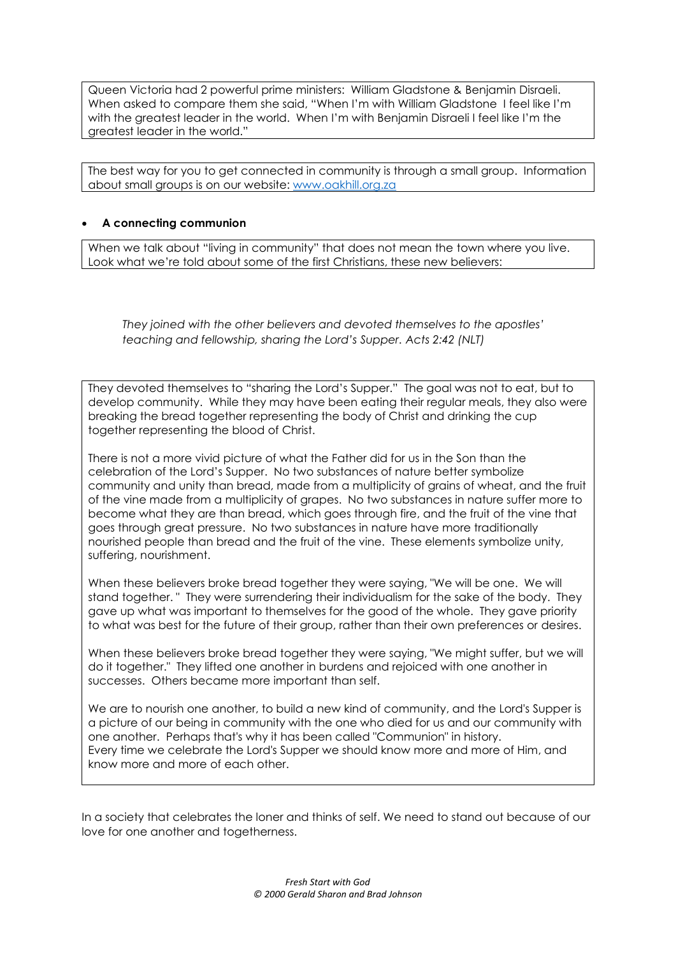Queen Victoria had 2 powerful prime ministers: William Gladstone & Benjamin Disraeli. When asked to compare them she said, "When I'm with William Gladstone I feel like I'm with the greatest leader in the world. When I'm with Benjamin Disraeli I feel like I'm the greatest leader in the world."

The best way for you to get connected in community is through a small group. Information about small groups is on our website: [www.oakhill.org.za](http://www.oakhill.org.za/)

# **A connecting communion**

When we talk about "living in community" that does not mean the town where you live. Look what we're told about some of the first Christians, these new believers:

*They joined with the other believers and devoted themselves to the apostles' teaching and fellowship, sharing the Lord's Supper. Acts 2:42 (NLT)*

They devoted themselves to "sharing the Lord's Supper." The goal was not to eat, but to develop community. While they may have been eating their regular meals, they also were breaking the bread together representing the body of Christ and drinking the cup together representing the blood of Christ.

There is not a more vivid picture of what the Father did for us in the Son than the celebration of the Lord's Supper. No two substances of nature better symbolize community and unity than bread, made from a multiplicity of grains of wheat, and the fruit of the vine made from a multiplicity of grapes. No two substances in nature suffer more to become what they are than bread, which goes through fire, and the fruit of the vine that goes through great pressure. No two substances in nature have more traditionally nourished people than bread and the fruit of the vine. These elements symbolize unity, suffering, nourishment.

When these believers broke bread together they were saying, "We will be one. We will stand together. " They were surrendering their individualism for the sake of the body. They gave up what was important to themselves for the good of the whole. They gave priority to what was best for the future of their group, rather than their own preferences or desires.

When these believers broke bread together they were saying, "We might suffer, but we will do it together." They lifted one another in burdens and rejoiced with one another in successes. Others became more important than self.

We are to nourish one another, to build a new kind of community, and the Lord's Supper is a picture of our being in community with the one who died for us and our community with one another. Perhaps that's why it has been called "Communion" in history. Every time we celebrate the Lord's Supper we should know more and more of Him, and know more and more of each other.

In a society that celebrates the loner and thinks of self. We need to stand out because of our love for one another and togetherness.